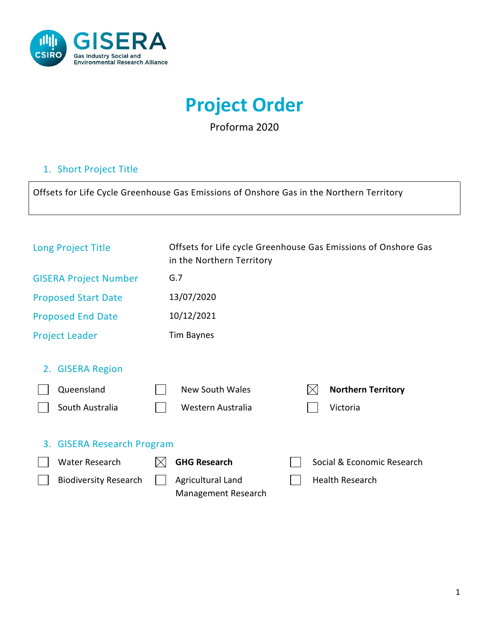

# **Project Order**

Proforma 2020

#### 1. Short Project Title

Offsets for Life Cycle Greenhouse Gas Emissions of Onshore Gas in the Northern Territory

|    | Long Project Title           | Offsets for Life cycle Greenhouse Gas Emissions of Onshore Gas<br>in the Northern Territory |             |                            |
|----|------------------------------|---------------------------------------------------------------------------------------------|-------------|----------------------------|
|    | <b>GISERA Project Number</b> | G.7                                                                                         |             |                            |
|    | <b>Proposed Start Date</b>   | 13/07/2020                                                                                  |             |                            |
|    | <b>Proposed End Date</b>     | 10/12/2021                                                                                  |             |                            |
|    | <b>Project Leader</b>        | Tim Baynes                                                                                  |             |                            |
| 2. | <b>GISERA Region</b>         |                                                                                             |             |                            |
|    | Queensland                   | <b>New South Wales</b>                                                                      | $\boxtimes$ | <b>Northern Territory</b>  |
|    | South Australia              | Western Australia                                                                           |             | Victoria                   |
|    | 3. GISERA Research Program   |                                                                                             |             |                            |
|    | Water Research               | <b>GHG Research</b>                                                                         |             | Social & Economic Research |
|    | <b>Biodiversity Research</b> | Agricultural Land<br>Management Research                                                    |             | <b>Health Research</b>     |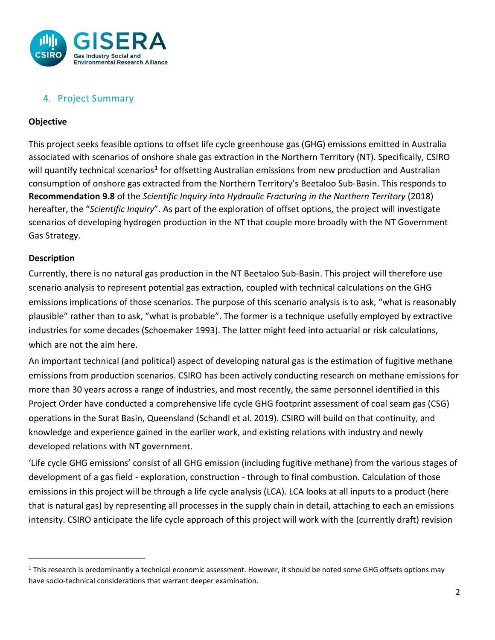

## 4. Project Summary

#### **Objective**

This project seeks feasible options to offset life cycle greenhouse gas (GHG) emissions emitted in Australia associated with scenarios of onshore shale gas extraction in the Northern Territory (NT). Specifically, CSIRO will quantify technical scenarios**[1](#page-1-0)** for offsetting Australian emissions from new production and Australian consumption of onshore gas extracted from the Northern Territory's Beetaloo Sub-Basin. This responds to **Recommendation 9.8** of the *Scientific Inquiry into Hydraulic Fracturing in the Northern Territory* (2018) hereafter, the "*Scientific Inquiry*". As part of the exploration of offset options, the project will investigate scenarios of developing hydrogen production in the NT that couple more broadly with the NT Government Gas Strategy.

#### **Description**

Currently, there is no natural gas production in the NT Beetaloo Sub-Basin. This project will therefore use scenario analysis to represent potential gas extraction, coupled with technical calculations on the GHG emissions implications of those scenarios. The purpose of this scenario analysis is to ask, "what is reasonably plausible" rather than to ask, "what is probable". The former is a technique usefully employed by extractive industries for some decades (Schoemaker 1993). The latter might feed into actuarial or risk calculations, which are not the aim here.

An important technical (and political) aspect of developing natural gas is the estimation of fugitive methane emissions from production scenarios. CSIRO has been actively conducting research on methane emissions for more than 30 years across a range of industries, and most recently, the same personnel identified in this Project Order have conducted a comprehensive life cycle GHG footprint assessment of coal seam gas (CSG) operations in the Surat Basin, Queensland (Schandl et al. 2019). CSIRO will build on that continuity, and knowledge and experience gained in the earlier work, and existing relations with industry and newly developed relations with NT government.

'Life cycle GHG emissions' consist of all GHG emission (including fugitive methane) from the various stages of development of a gas field - exploration, construction - through to final combustion. Calculation of those emissions in this project will be through a life cycle analysis (LCA). LCA looks at all inputs to a product (here that is natural gas) by representing all processes in the supply chain in detail, attaching to each an emissions intensity. CSIRO anticipate the life cycle approach of this project will work with the (currently draft) revision

<span id="page-1-0"></span> $1$  This research is predominantly a technical economic assessment. However, it should be noted some GHG offsets options may have socio-technical considerations that warrant deeper examination.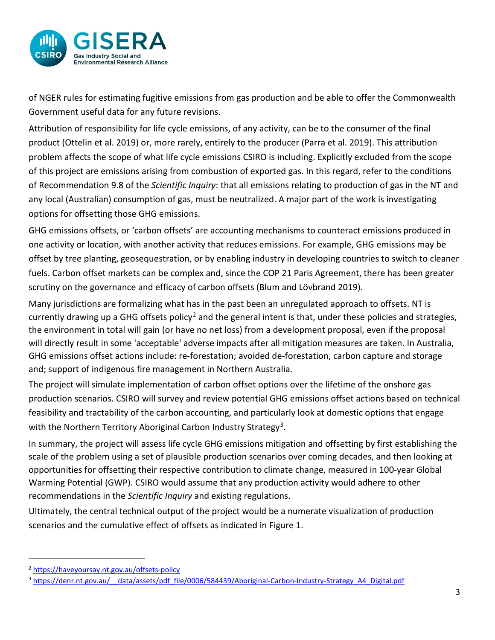

of NGER rules for estimating fugitive emissions from gas production and be able to offer the Commonwealth Government useful data for any future revisions.

Attribution of responsibility for life cycle emissions, of any activity, can be to the consumer of the final product (Ottelin et al. 2019) or, more rarely, entirely to the producer (Parra et al. 2019). This attribution problem affects the scope of what life cycle emissions CSIRO is including. Explicitly excluded from the scope of this project are emissions arising from combustion of exported gas. In this regard, refer to the conditions of Recommendation 9.8 of the *Scientific Inquiry*: that all emissions relating to production of gas in the NT and any local (Australian) consumption of gas, must be neutralized. A major part of the work is investigating options for offsetting those GHG emissions.

GHG emissions offsets, or 'carbon offsets' are accounting mechanisms to counteract emissions produced in one activity or location, with another activity that reduces emissions. For example, GHG emissions may be offset by tree planting, geosequestration, or by enabling industry in developing countries to switch to cleaner fuels. Carbon offset markets can be complex and, since the COP 21 Paris Agreement, there has been greater scrutiny on the governance and efficacy of carbon offsets (Blum and Lövbrand 2019).

Many jurisdictions are formalizing what has in the past been an unregulated approach to offsets. NT is currently drawing up a GHG offsets policy<sup>[2](#page-2-0)</sup> and the general intent is that, under these policies and strategies, the environment in total will gain (or have no net loss) from a development proposal, even if the proposal will directly result in some 'acceptable' adverse impacts after all mitigation measures are taken. In Australia, GHG emissions offset actions include: re-forestation; avoided de-forestation, carbon capture and storage and; support of indigenous fire management in Northern Australia.

The project will simulate implementation of carbon offset options over the lifetime of the onshore gas production scenarios. CSIRO will survey and review potential GHG emissions offset actions based on technical feasibility and tractability of the carbon accounting, and particularly look at domestic options that engage with the Northern Territory Aboriginal Carbon Industry Strategy<sup>3</sup>.

In summary, the project will assess life cycle GHG emissions mitigation and offsetting by first establishing the scale of the problem using a set of plausible production scenarios over coming decades, and then looking at opportunities for offsetting their respective contribution to climate change, measured in 100-year Global Warming Potential (GWP). CSIRO would assume that any production activity would adhere to other recommendations in the *Scientific Inquiry* and existing regulations.

Ultimately, the central technical output of the project would be a numerate visualization of production scenarios and the cumulative effect of offsets as indicated in [Figure 1.](#page-3-0)

<span id="page-2-0"></span><sup>2</sup> <https://haveyoursay.nt.gov.au/offsets-policy>

<span id="page-2-1"></span><sup>3</sup> [https://denr.nt.gov.au/\\_\\_data/assets/pdf\\_file/0006/584439/Aboriginal-Carbon-Industry-Strategy\\_A4\\_Digital.pdf](https://denr.nt.gov.au/__data/assets/pdf_file/0006/584439/Aboriginal-Carbon-Industry-Strategy_A4_Digital.pdf)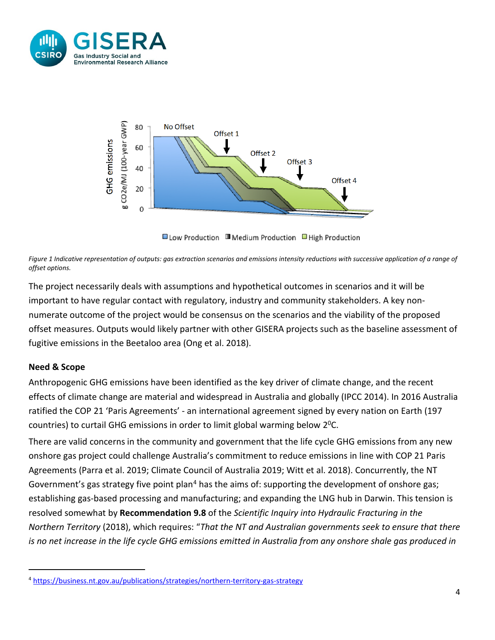



□ Low Production ■ Medium Production □ High Production

<span id="page-3-0"></span>*Figure 1 Indicative representation of outputs: gas extraction scenarios and emissions intensity reductions with successive application of a range of offset options.*

The project necessarily deals with assumptions and hypothetical outcomes in scenarios and it will be important to have regular contact with regulatory, industry and community stakeholders. A key nonnumerate outcome of the project would be consensus on the scenarios and the viability of the proposed offset measures. Outputs would likely partner with other GISERA projects such as the baseline assessment of fugitive emissions in the Beetaloo area (Ong et al. 2018).

#### **Need & Scope**

Anthropogenic GHG emissions have been identified as the key driver of climate change, and the recent effects of climate change are material and widespread in Australia and globally (IPCC 2014). In 2016 Australia ratified the COP 21 'Paris Agreements' - an international agreement signed by every nation on Earth (197 countries) to curtail GHG emissions in order to limit global warming below 20C.

There are valid concerns in the community and government that the life cycle GHG emissions from any new onshore gas project could challenge Australia's commitment to reduce emissions in line with COP 21 Paris Agreements (Parra et al. 2019; Climate Council of Australia 2019; Witt et al. 2018). Concurrently, the NT Government's gas strategy five point plan<sup>[4](#page-3-1)</sup> has the aims of: supporting the development of onshore gas; establishing gas-based processing and manufacturing; and expanding the LNG hub in Darwin. This tension is resolved somewhat by **Recommendation 9.8** of the *Scientific Inquiry into Hydraulic Fracturing in the Northern Territory* (2018), which requires: "*That the NT and Australian governments seek to ensure that there is no net increase in the life cycle GHG emissions emitted in Australia from any onshore shale gas produced in* 

<span id="page-3-1"></span><sup>4</sup> <https://business.nt.gov.au/publications/strategies/northern-territory-gas-strategy>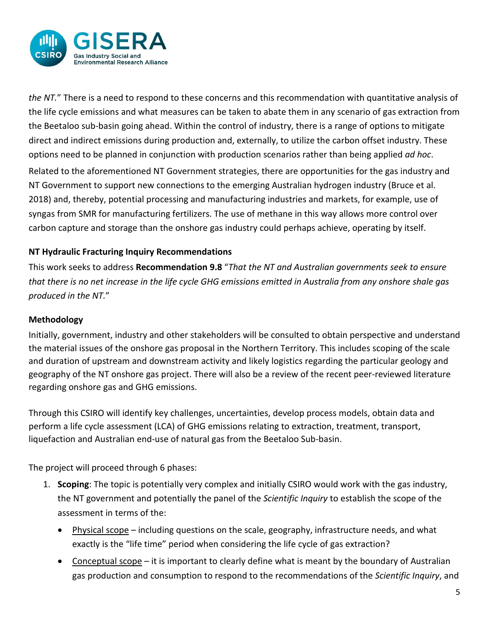

*the NT.*" There is a need to respond to these concerns and this recommendation with quantitative analysis of the life cycle emissions and what measures can be taken to abate them in any scenario of gas extraction from the Beetaloo sub-basin going ahead. Within the control of industry, there is a range of options to mitigate direct and indirect emissions during production and, externally, to utilize the carbon offset industry. These options need to be planned in conjunction with production scenarios rather than being applied *ad hoc*.

Related to the aforementioned NT Government strategies, there are opportunities for the gas industry and NT Government to support new connections to the emerging Australian hydrogen industry (Bruce et al. 2018) and, thereby, potential processing and manufacturing industries and markets, for example, use of syngas from SMR for manufacturing fertilizers. The use of methane in this way allows more control over carbon capture and storage than the onshore gas industry could perhaps achieve, operating by itself.

#### **NT Hydraulic Fracturing Inquiry Recommendations**

This work seeks to address **Recommendation 9.8** "*That the NT and Australian governments seek to ensure that there is no net increase in the life cycle GHG emissions emitted in Australia from any onshore shale gas produced in the NT.*"

#### **Methodology**

Initially, government, industry and other stakeholders will be consulted to obtain perspective and understand the material issues of the onshore gas proposal in the Northern Territory. This includes scoping of the scale and duration of upstream and downstream activity and likely logistics regarding the particular geology and geography of the NT onshore gas project. There will also be a review of the recent peer-reviewed literature regarding onshore gas and GHG emissions.

Through this CSIRO will identify key challenges, uncertainties, develop process models, obtain data and perform a life cycle assessment (LCA) of GHG emissions relating to extraction, treatment, transport, liquefaction and Australian end-use of natural gas from the Beetaloo Sub-basin.

The project will proceed through 6 phases:

- 1. **Scoping**: The topic is potentially very complex and initially CSIRO would work with the gas industry, the NT government and potentially the panel of the *Scientific Inquiry* to establish the scope of the assessment in terms of the:
	- Physical scope including questions on the scale, geography, infrastructure needs, and what exactly is the "life time" period when considering the life cycle of gas extraction?
	- Conceptual scope it is important to clearly define what is meant by the boundary of Australian gas production and consumption to respond to the recommendations of the *Scientific Inquiry*, and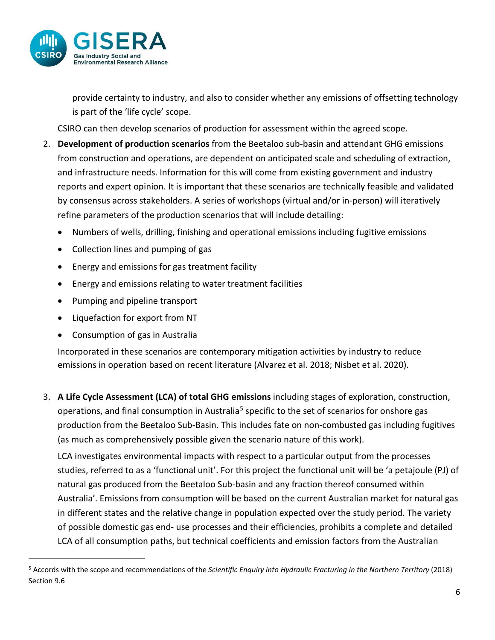

provide certainty to industry, and also to consider whether any emissions of offsetting technology is part of the 'life cycle' scope.

CSIRO can then develop scenarios of production for assessment within the agreed scope.

- 2. **Development of production scenarios** from the Beetaloo sub-basin and attendant GHG emissions from construction and operations, are dependent on anticipated scale and scheduling of extraction, and infrastructure needs. Information for this will come from existing government and industry reports and expert opinion. It is important that these scenarios are technically feasible and validated by consensus across stakeholders. A series of workshops (virtual and/or in-person) will iteratively refine parameters of the production scenarios that will include detailing:
	- Numbers of wells, drilling, finishing and operational emissions including fugitive emissions
	- Collection lines and pumping of gas
	- Energy and emissions for gas treatment facility
	- Energy and emissions relating to water treatment facilities
	- Pumping and pipeline transport
	- Liquefaction for export from NT
	- Consumption of gas in Australia

Incorporated in these scenarios are contemporary mitigation activities by industry to reduce emissions in operation based on recent literature (Alvarez et al. 2018; Nisbet et al. 2020).

3. **A Life Cycle Assessment (LCA) of total GHG emissions** including stages of exploration, construction, operations, and final consumption in Australia<sup>[5](#page-5-0)</sup> specific to the set of scenarios for onshore gas production from the Beetaloo Sub-Basin. This includes fate on non-combusted gas including fugitives (as much as comprehensively possible given the scenario nature of this work).

LCA investigates environmental impacts with respect to a particular output from the processes studies, referred to as a 'functional unit'. For this project the functional unit will be 'a petajoule (PJ) of natural gas produced from the Beetaloo Sub-basin and any fraction thereof consumed within Australia'. Emissions from consumption will be based on the current Australian market for natural gas in different states and the relative change in population expected over the study period. The variety of possible domestic gas end- use processes and their efficiencies, prohibits a complete and detailed LCA of all consumption paths, but technical coefficients and emission factors from the Australian

<span id="page-5-0"></span><sup>5</sup> Accords with the scope and recommendations of the *Scientific Enquiry into Hydraulic Fracturing in the Northern Territory* (2018) Section 9.6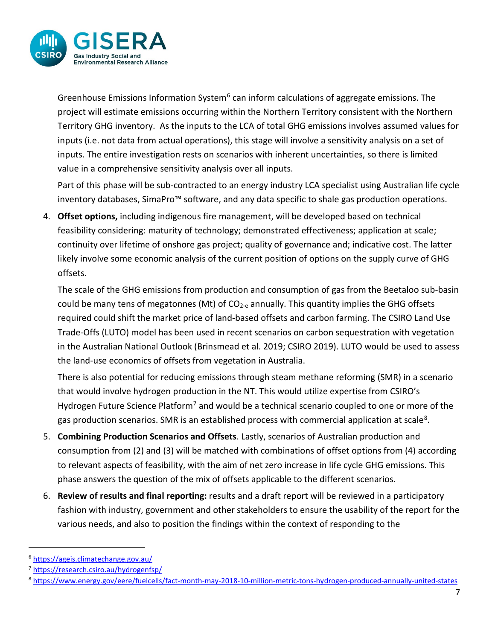

Greenhouse Emissions Information System<sup>[6](#page-6-0)</sup> can inform calculations of aggregate emissions. The project will estimate emissions occurring within the Northern Territory consistent with the Northern Territory GHG inventory. As the inputs to the LCA of total GHG emissions involves assumed values for inputs (i.e. not data from actual operations), this stage will involve a sensitivity analysis on a set of inputs. The entire investigation rests on scenarios with inherent uncertainties, so there is limited value in a comprehensive sensitivity analysis over all inputs.

Part of this phase will be sub-contracted to an energy industry LCA specialist using Australian life cycle inventory databases, SimaPro™ software, and any data specific to shale gas production operations.

4. **Offset options,** including indigenous fire management, will be developed based on technical feasibility considering: maturity of technology; demonstrated effectiveness; application at scale; continuity over lifetime of onshore gas project; quality of governance and; indicative cost. The latter likely involve some economic analysis of the current position of options on the supply curve of GHG offsets.

The scale of the GHG emissions from production and consumption of gas from the Beetaloo sub-basin could be many tens of megatonnes (Mt) of  $CO<sub>2-e</sub>$  annually. This quantity implies the GHG offsets required could shift the market price of land-based offsets and carbon farming. The CSIRO Land Use Trade-Offs (LUTO) model has been used in recent scenarios on carbon sequestration with vegetation in the Australian National Outlook (Brinsmead et al. 2019; CSIRO 2019). LUTO would be used to assess the land-use economics of offsets from vegetation in Australia.

There is also potential for reducing emissions through steam methane reforming (SMR) in a scenario that would involve hydrogen production in the NT. This would utilize expertise from CSIRO's Hydrogen Future Science Platform<sup>[7](#page-6-1)</sup> and would be a technical scenario coupled to one or more of the gas production scenarios. SMR is an established process with commercial application at scale<sup>8</sup>.

- 5. **Combining Production Scenarios and Offsets**. Lastly, scenarios of Australian production and consumption from (2) and (3) will be matched with combinations of offset options from (4) according to relevant aspects of feasibility, with the aim of net zero increase in life cycle GHG emissions. This phase answers the question of the mix of offsets applicable to the different scenarios.
- 6. **Review of results and final reporting:** results and a draft report will be reviewed in a participatory fashion with industry, government and other stakeholders to ensure the usability of the report for the various needs, and also to position the findings within the context of responding to the

<span id="page-6-0"></span><sup>6</sup> <https://ageis.climatechange.gov.au/>

<span id="page-6-1"></span><sup>7</sup> <https://research.csiro.au/hydrogenfsp/>

<span id="page-6-2"></span><sup>8</sup> <https://www.energy.gov/eere/fuelcells/fact-month-may-2018-10-million-metric-tons-hydrogen-produced-annually-united-states>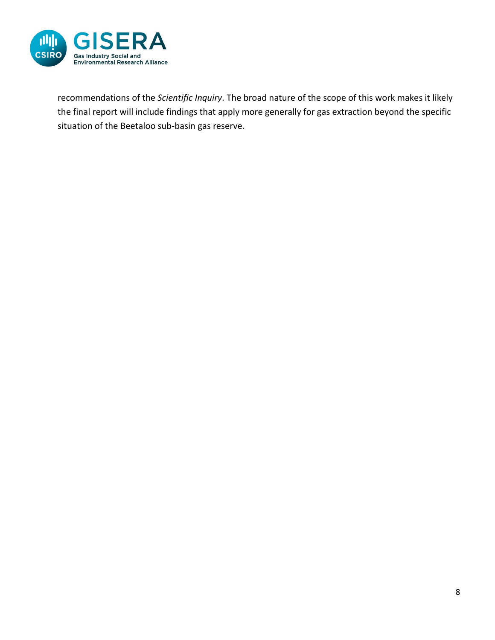

recommendations of the *Scientific Inquiry*. The broad nature of the scope of this work makes it likely the final report will include findings that apply more generally for gas extraction beyond the specific situation of the Beetaloo sub-basin gas reserve.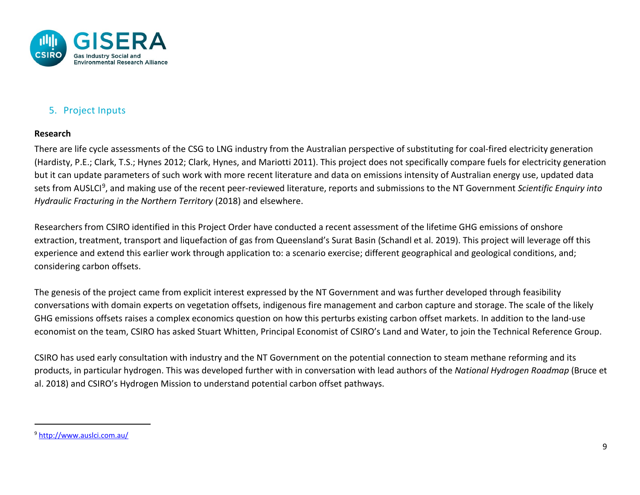<span id="page-8-0"></span>

#### 5. Project Inputs

#### **Research**

There are life cycle assessments of the CSG to LNG industry from the Australian perspective of substituting for coal-fired electricity generation (Hardisty, P.E.; Clark, T.S.; Hynes 2012; Clark, Hynes, and Mariotti 2011). This project does not specifically compare fuels for electricity generation but it can update parameters of such work with more recent literature and data on emissions intensity of Australian energy use, updated data sets from AUSLCI[9](#page-8-0), and making use of the recent peer-reviewed literature, reports and submissions to the NT Government *Scientific Enquiry into Hydraulic Fracturing in the Northern Territory* (2018) and elsewhere.

Researchers from CSIRO identified in this Project Order have conducted a recent assessment of the lifetime GHG emissions of onshore extraction, treatment, transport and liquefaction of gas from Queensland's Surat Basin (Schandl et al. 2019). This project will leverage off this experience and extend this earlier work through application to: a scenario exercise; different geographical and geological conditions, and; considering carbon offsets.

The genesis of the project came from explicit interest expressed by the NT Government and was further developed through feasibility conversations with domain experts on vegetation offsets, indigenous fire management and carbon capture and storage. The scale of the likely GHG emissions offsets raises a complex economics question on how this perturbs existing carbon offset markets. In addition to the land-use economist on the team, CSIRO has asked Stuart Whitten, Principal Economist of CSIRO's Land and Water, to join the Technical Reference Group.

CSIRO has used early consultation with industry and the NT Government on the potential connection to steam methane reforming and its products, in particular hydrogen. This was developed further with in conversation with lead authors of the *National Hydrogen Roadmap* (Bruce et al. 2018) and CSIRO's Hydrogen Mission to understand potential carbon offset pathways.

<sup>9</sup> <http://www.auslci.com.au/>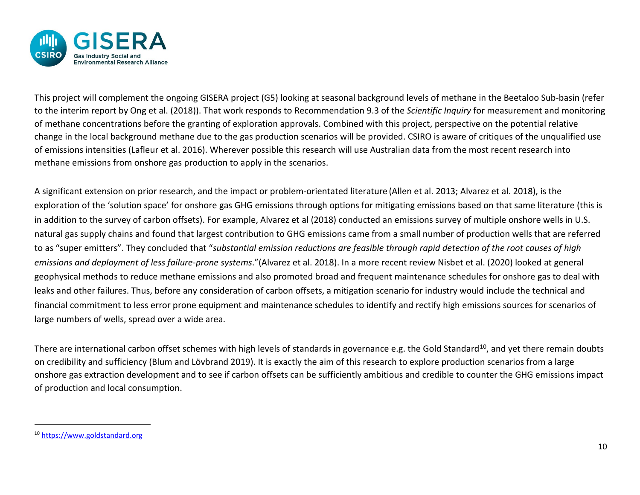<span id="page-9-0"></span>

This project will complement the ongoing GISERA project (G5) looking at seasonal background levels of methane in the Beetaloo Sub-basin (refer to the interim report by Ong et al. (2018)). That work responds to Recommendation 9.3 of the *Scientific Inquiry* for measurement and monitoring of methane concentrations before the granting of exploration approvals. Combined with this project, perspective on the potential relative change in the local background methane due to the gas production scenarios will be provided. CSIRO is aware of critiques of the unqualified use of emissions intensities (Lafleur et al. 2016). Wherever possible this research will use Australian data from the most recent research into methane emissions from onshore gas production to apply in the scenarios.

A significant extension on prior research, and the impact or problem-orientated literature (Allen et al. 2013; Alvarez et al. 2018), is the exploration of the 'solution space' for onshore gas GHG emissions through options for mitigating emissions based on that same literature (this is in addition to the survey of carbon offsets). For example, Alvarez et al (2018) conducted an emissions survey of multiple onshore wells in U.S. natural gas supply chains and found that largest contribution to GHG emissions came from a small number of production wells that are referred to as "super emitters". They concluded that "*substantial emission reductions are feasible through rapid detection of the root causes of high emissions and deployment of less failure-prone systems*."(Alvarez et al. 2018). In a more recent review Nisbet et al. (2020) looked at general geophysical methods to reduce methane emissions and also promoted broad and frequent maintenance schedules for onshore gas to deal with leaks and other failures. Thus, before any consideration of carbon offsets, a mitigation scenario for industry would include the technical and financial commitment to less error prone equipment and maintenance schedules to identify and rectify high emissions sources for scenarios of large numbers of wells, spread over a wide area.

There are international carbon offset schemes with high levels of standards in governance e.g. the Gold Standard<sup>10</sup>, and yet there remain doubts on credibility and sufficiency (Blum and Lövbrand 2019). It is exactly the aim of this research to explore production scenarios from a large onshore gas extraction development and to see if carbon offsets can be sufficiently ambitious and credible to counter the GHG emissions impact of production and local consumption.

<sup>10</sup> [https://www.goldstandard.org](https://www.goldstandard.org/)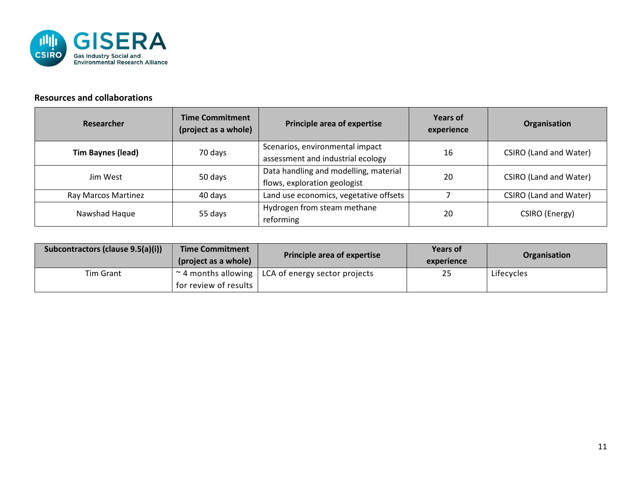

#### **Resources and collaborations**

| Researcher          | <b>Time Commitment</b><br>(project as a whole) | <b>Principle area of expertise</b>                                    | <b>Years of</b><br>experience | Organisation           |
|---------------------|------------------------------------------------|-----------------------------------------------------------------------|-------------------------------|------------------------|
| Tim Baynes (lead)   | 70 days                                        | Scenarios, environmental impact<br>assessment and industrial ecology  | 16                            | CSIRO (Land and Water) |
| Jim West            | 50 days                                        | Data handling and modelling, material<br>flows, exploration geologist | 20                            | CSIRO (Land and Water) |
| Ray Marcos Martinez | 40 days                                        | Land use economics, vegetative offsets                                |                               | CSIRO (Land and Water) |
| Nawshad Haque       | 55 days                                        | Hydrogen from steam methane<br>reforming                              | 20                            | CSIRO (Energy)         |

| Subcontractors (clause 9.5(a)(i)) | <b>Time Commitment</b><br>(project as a whole) | <b>Principle area of expertise</b>                       | <b>Years of</b><br>experience | Organisation |
|-----------------------------------|------------------------------------------------|----------------------------------------------------------|-------------------------------|--------------|
| Tim Grant                         | for review of results                          | $\sim$ 4 months allowing   LCA of energy sector projects | 25                            | Lifecycles   |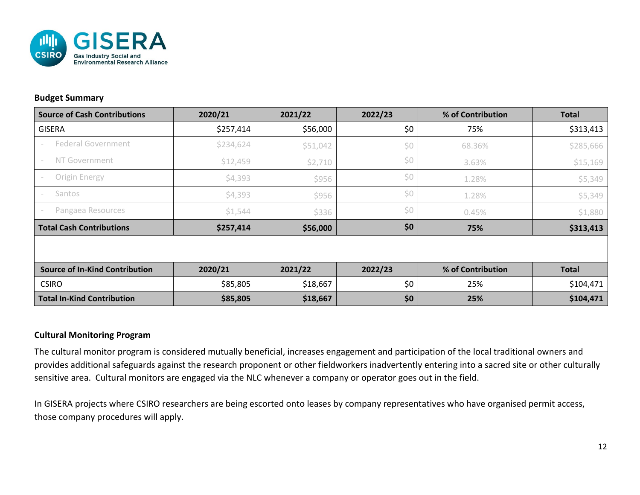

#### **Budget Summary**

| <b>Source of Cash Contributions</b>              | 2020/21   | 2021/22      | 2022/23 | % of Contribution | <b>Total</b> |
|--------------------------------------------------|-----------|--------------|---------|-------------------|--------------|
| <b>GISERA</b>                                    | \$257,414 | \$56,000     | \$0     | 75%               | \$313,413    |
| <b>Federal Government</b>                        | \$234,624 | \$51,042     | \$0     | 68.36%            | \$285,666    |
| NT Government<br>$\sim$                          | \$12,459  | \$2,710      | \$0     | 3.63%             | \$15,169     |
| Origin Energy<br>$\hspace{0.1mm}-\hspace{0.1mm}$ | \$4,393   | \$956        | \$0     | 1.28%             | \$5,349      |
| Santos<br>$\sim$                                 | \$4,393   | \$956        | \$0     | 1.28%             | \$5,349      |
| Pangaea Resources                                | \$1,544   | \$0<br>\$336 |         | 0.45%             | \$1,880      |
| <b>Total Cash Contributions</b>                  | \$257,414 | \$56,000     | \$0     | 75%               | \$313,413    |
|                                                  |           |              |         |                   |              |
| <b>Source of In-Kind Contribution</b>            | 2020/21   | 2021/22      | 2022/23 | % of Contribution | <b>Total</b> |
|                                                  |           |              |         |                   |              |
| <b>CSIRO</b>                                     | \$85,805  | \$18,667     | \$0     | 25%               | \$104,471    |
| <b>Total In-Kind Contribution</b>                | \$85,805  | \$18,667     | \$0     | 25%               | \$104,471    |

#### **Cultural Monitoring Program**

The cultural monitor program is considered mutually beneficial, increases engagement and participation of the local traditional owners and provides additional safeguards against the research proponent or other fieldworkers inadvertently entering into a sacred site or other culturally sensitive area. Cultural monitors are engaged via the NLC whenever a company or operator goes out in the field.

In GISERA projects where CSIRO researchers are being escorted onto leases by company representatives who have organised permit access, those company procedures will apply.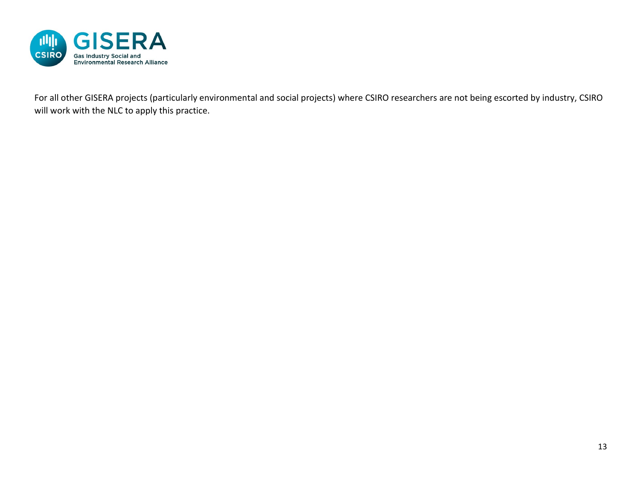

For all other GISERA projects (particularly environmental and social projects) where CSIRO researchers are not being escorted by industry, CSIRO will work with the NLC to apply this practice.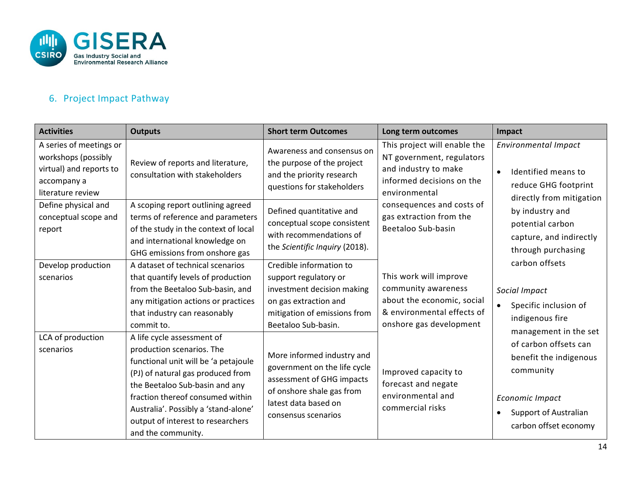

## 6. Project Impact Pathway

| <b>Activities</b>                                                                                             | <b>Outputs</b>                                                                                                                                                                                                                                                                                                | <b>Short term Outcomes</b>                                                                                                                                          | Long term outcomes                                                                                                                   | Impact                                                                                                                                                                         |
|---------------------------------------------------------------------------------------------------------------|---------------------------------------------------------------------------------------------------------------------------------------------------------------------------------------------------------------------------------------------------------------------------------------------------------------|---------------------------------------------------------------------------------------------------------------------------------------------------------------------|--------------------------------------------------------------------------------------------------------------------------------------|--------------------------------------------------------------------------------------------------------------------------------------------------------------------------------|
| A series of meetings or<br>workshops (possibly<br>virtual) and reports to<br>accompany a<br>literature review | Review of reports and literature,<br>consultation with stakeholders                                                                                                                                                                                                                                           | Awareness and consensus on<br>the purpose of the project<br>and the priority research<br>questions for stakeholders                                                 | This project will enable the<br>NT government, regulators<br>and industry to make<br>informed decisions on the<br>environmental      | <b>Environmental Impact</b><br>Identified means to<br>$\bullet$<br>reduce GHG footprint<br>directly from mitigation                                                            |
| Define physical and<br>conceptual scope and<br>report                                                         | A scoping report outlining agreed<br>terms of reference and parameters<br>of the study in the context of local<br>and international knowledge on<br>GHG emissions from onshore gas                                                                                                                            | Defined quantitative and<br>conceptual scope consistent<br>with recommendations of<br>the Scientific Inquiry (2018).                                                | consequences and costs of<br>gas extraction from the<br>Beetaloo Sub-basin                                                           | by industry and<br>potential carbon<br>capture, and indirectly<br>through purchasing                                                                                           |
| Develop production<br>scenarios                                                                               | A dataset of technical scenarios<br>that quantify levels of production<br>from the Beetaloo Sub-basin, and<br>any mitigation actions or practices<br>that industry can reasonably<br>commit to.                                                                                                               | Credible information to<br>support regulatory or<br>investment decision making<br>on gas extraction and<br>mitigation of emissions from<br>Beetaloo Sub-basin.      | This work will improve<br>community awareness<br>about the economic, social<br>& environmental effects of<br>onshore gas development | carbon offsets<br>Social Impact<br>Specific inclusion of<br>indigenous fire                                                                                                    |
| LCA of production<br>scenarios                                                                                | A life cycle assessment of<br>production scenarios. The<br>functional unit will be 'a petajoule<br>(PJ) of natural gas produced from<br>the Beetaloo Sub-basin and any<br>fraction thereof consumed within<br>Australia'. Possibly a 'stand-alone'<br>output of interest to researchers<br>and the community. | More informed industry and<br>government on the life cycle<br>assessment of GHG impacts<br>of onshore shale gas from<br>latest data based on<br>consensus scenarios | Improved capacity to<br>forecast and negate<br>environmental and<br>commercial risks                                                 | management in the set<br>of carbon offsets can<br>benefit the indigenous<br>community<br>Economic Impact<br><b>Support of Australian</b><br>$\bullet$<br>carbon offset economy |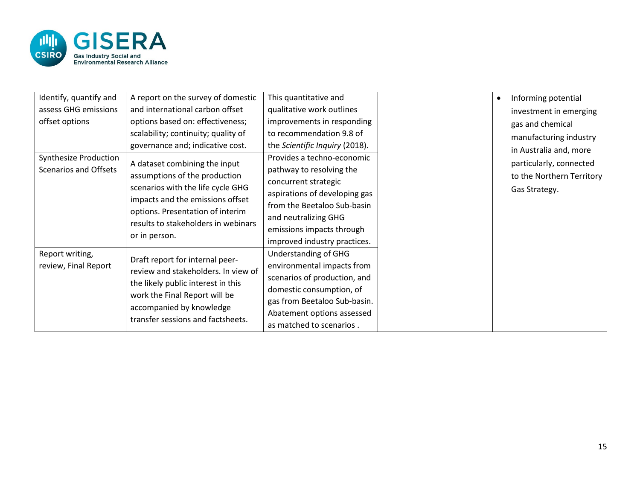

| Identify, quantify and       | A report on the survey of domestic  | This quantitative and          |               | Informing potential<br>$\bullet$ |  |
|------------------------------|-------------------------------------|--------------------------------|---------------|----------------------------------|--|
| assess GHG emissions         | and international carbon offset     | qualitative work outlines      |               | investment in emerging           |  |
| offset options               | options based on: effectiveness;    | improvements in responding     |               | gas and chemical                 |  |
|                              | scalability; continuity; quality of | to recommendation 9.8 of       |               | manufacturing industry           |  |
|                              | governance and; indicative cost.    | the Scientific Inquiry (2018). |               | in Australia and, more           |  |
| Synthesize Production        | A dataset combining the input       | Provides a techno-economic     |               | particularly, connected          |  |
| <b>Scenarios and Offsets</b> |                                     | pathway to resolving the       |               |                                  |  |
|                              | assumptions of the production       | concurrent strategic           |               | to the Northern Territory        |  |
|                              | scenarios with the life cycle GHG   | aspirations of developing gas  | Gas Strategy. |                                  |  |
|                              | impacts and the emissions offset    | from the Beetaloo Sub-basin    |               |                                  |  |
|                              | options. Presentation of interim    | and neutralizing GHG           |               |                                  |  |
|                              | results to stakeholders in webinars | emissions impacts through      |               |                                  |  |
|                              | or in person.                       | improved industry practices.   |               |                                  |  |
| Report writing,              |                                     | <b>Understanding of GHG</b>    |               |                                  |  |
| review, Final Report         | Draft report for internal peer-     | environmental impacts from     |               |                                  |  |
|                              | review and stakeholders. In view of | scenarios of production, and   |               |                                  |  |
|                              | the likely public interest in this  | domestic consumption, of       |               |                                  |  |
|                              | work the Final Report will be       | gas from Beetaloo Sub-basin.   |               |                                  |  |
|                              | accompanied by knowledge            | Abatement options assessed     |               |                                  |  |
|                              | transfer sessions and factsheets.   | as matched to scenarios.       |               |                                  |  |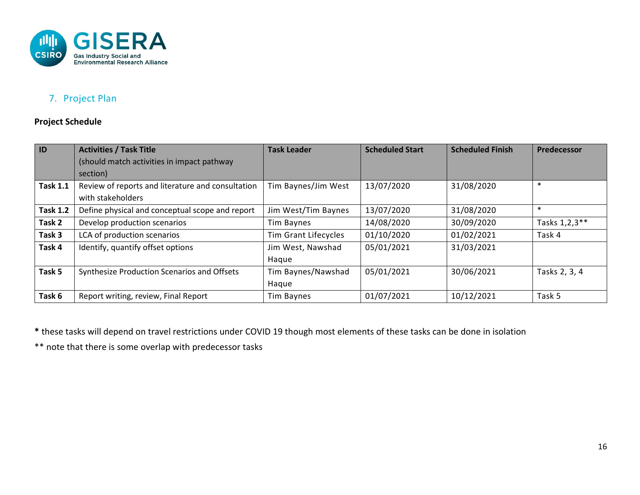

## 7. Project Plan

#### **Project Schedule**

| $\overline{1}$  | <b>Activities / Task Title</b>                    | <b>Task Leader</b>          | <b>Scheduled Start</b> | <b>Scheduled Finish</b> | <b>Predecessor</b> |
|-----------------|---------------------------------------------------|-----------------------------|------------------------|-------------------------|--------------------|
|                 | (should match activities in impact pathway        |                             |                        |                         |                    |
|                 | section)                                          |                             |                        |                         |                    |
| <b>Task 1.1</b> | Review of reports and literature and consultation | Tim Baynes/Jim West         | 13/07/2020             | 31/08/2020              | $\ast$             |
|                 | with stakeholders                                 |                             |                        |                         |                    |
| <b>Task 1.2</b> | Define physical and conceptual scope and report   | Jim West/Tim Baynes         | 13/07/2020             | 31/08/2020              | $\ast$             |
| Task 2          | Develop production scenarios                      | Tim Baynes                  | 14/08/2020             | 30/09/2020              | Tasks 1,2,3**      |
| Task 3          | LCA of production scenarios                       | <b>Tim Grant Lifecycles</b> | 01/10/2020             | 01/02/2021              | Task 4             |
| Task 4          | Identify, quantify offset options                 | Jim West, Nawshad           | 05/01/2021             | 31/03/2021              |                    |
|                 |                                                   | Haque                       |                        |                         |                    |
| Task 5          | Synthesize Production Scenarios and Offsets       | Tim Baynes/Nawshad          | 05/01/2021             | 30/06/2021              | Tasks 2, 3, 4      |
|                 |                                                   | Haque                       |                        |                         |                    |
| Task 6          | Report writing, review, Final Report              | Tim Baynes                  | 01/07/2021             | 10/12/2021              | Task 5             |

**\*** these tasks will depend on travel restrictions under COVID 19 though most elements of these tasks can be done in isolation

\*\* note that there is some overlap with predecessor tasks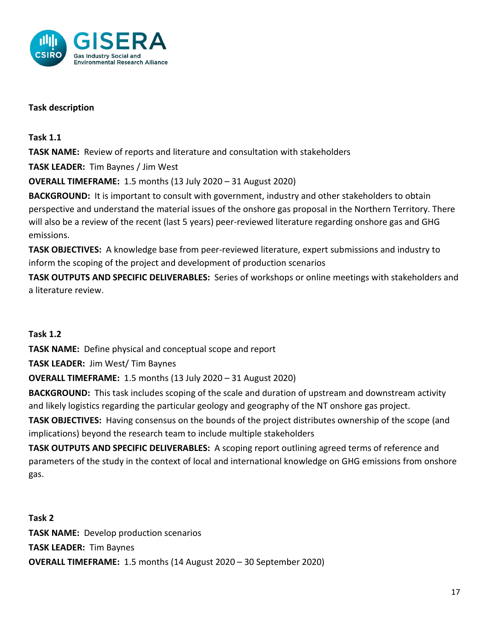

#### **Task description**

**Task 1.1**

**TASK NAME:** Review of reports and literature and consultation with stakeholders

**TASK LEADER:** Tim Baynes / Jim West

**OVERALL TIMEFRAME:** 1.5 months (13 July 2020 – 31 August 2020)

**BACKGROUND:** It is important to consult with government, industry and other stakeholders to obtain perspective and understand the material issues of the onshore gas proposal in the Northern Territory. There will also be a review of the recent (last 5 years) peer-reviewed literature regarding onshore gas and GHG emissions.

**TASK OBJECTIVES:** A knowledge base from peer-reviewed literature, expert submissions and industry to inform the scoping of the project and development of production scenarios

**TASK OUTPUTS AND SPECIFIC DELIVERABLES:** Series of workshops or online meetings with stakeholders and a literature review.

**Task 1.2**

**TASK NAME:** Define physical and conceptual scope and report

**TASK LEADER:** Jim West/ Tim Baynes

**OVERALL TIMEFRAME:** 1.5 months (13 July 2020 – 31 August 2020)

**BACKGROUND:** This task includes scoping of the scale and duration of upstream and downstream activity and likely logistics regarding the particular geology and geography of the NT onshore gas project.

**TASK OBJECTIVES:** Having consensus on the bounds of the project distributes ownership of the scope (and implications) beyond the research team to include multiple stakeholders

**TASK OUTPUTS AND SPECIFIC DELIVERABLES:** A scoping report outlining agreed terms of reference and parameters of the study in the context of local and international knowledge on GHG emissions from onshore gas.

**Task 2 TASK NAME:** Develop production scenarios **TASK LEADER:** Tim Baynes **OVERALL TIMEFRAME:** 1.5 months (14 August 2020 – 30 September 2020)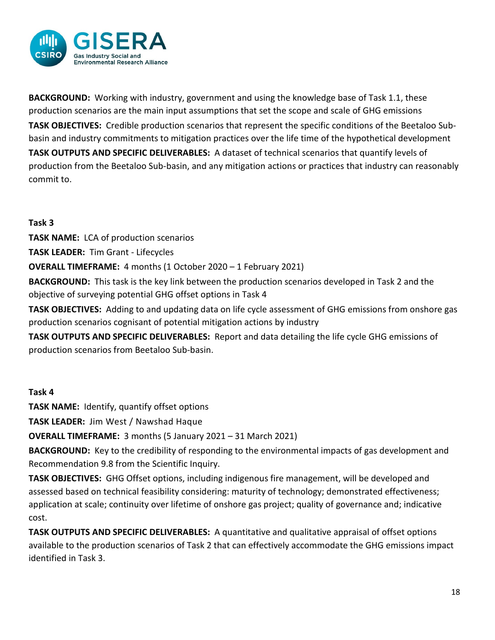

**BACKGROUND:** Working with industry, government and using the knowledge base of Task 1.1, these production scenarios are the main input assumptions that set the scope and scale of GHG emissions **TASK OBJECTIVES:** Credible production scenarios that represent the specific conditions of the Beetaloo Subbasin and industry commitments to mitigation practices over the life time of the hypothetical development **TASK OUTPUTS AND SPECIFIC DELIVERABLES:** A dataset of technical scenarios that quantify levels of production from the Beetaloo Sub-basin, and any mitigation actions or practices that industry can reasonably commit to.

#### **Task 3**

**TASK NAME:** LCA of production scenarios

**TASK LEADER:** Tim Grant - Lifecycles

**OVERALL TIMEFRAME:** 4 months (1 October 2020 – 1 February 2021)

**BACKGROUND:** This task is the key link between the production scenarios developed in Task 2 and the objective of surveying potential GHG offset options in Task 4

**TASK OBJECTIVES:** Adding to and updating data on life cycle assessment of GHG emissions from onshore gas production scenarios cognisant of potential mitigation actions by industry

**TASK OUTPUTS AND SPECIFIC DELIVERABLES:** Report and data detailing the life cycle GHG emissions of production scenarios from Beetaloo Sub-basin.

#### **Task 4**

**TASK NAME:** Identify, quantify offset options

**TASK LEADER:** Jim West / Nawshad Haque

**OVERALL TIMEFRAME:** 3 months (5 January 2021 – 31 March 2021)

**BACKGROUND:** Key to the credibility of responding to the environmental impacts of gas development and Recommendation 9.8 from the Scientific Inquiry.

**TASK OBJECTIVES:** GHG Offset options, including indigenous fire management, will be developed and assessed based on technical feasibility considering: maturity of technology; demonstrated effectiveness; application at scale; continuity over lifetime of onshore gas project; quality of governance and; indicative cost.

**TASK OUTPUTS AND SPECIFIC DELIVERABLES:** A quantitative and qualitative appraisal of offset options available to the production scenarios of Task 2 that can effectively accommodate the GHG emissions impact identified in Task 3.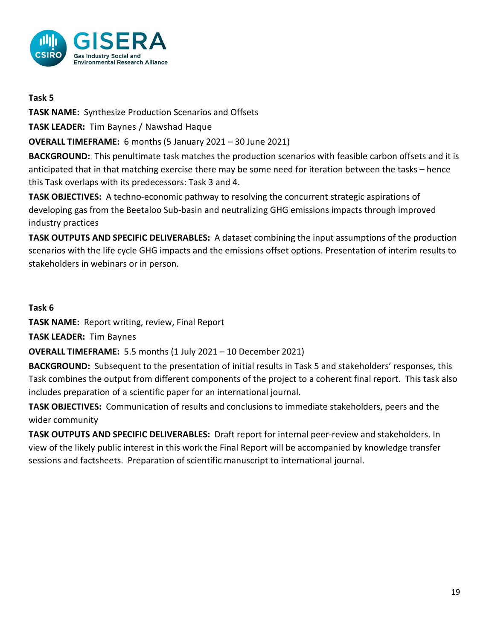

#### **Task 5**

**TASK NAME:** Synthesize Production Scenarios and Offsets

**TASK LEADER:** Tim Baynes / Nawshad Haque

## **OVERALL TIMEFRAME:** 6 months (5 January 2021 – 30 June 2021)

**BACKGROUND:** This penultimate task matches the production scenarios with feasible carbon offsets and it is anticipated that in that matching exercise there may be some need for iteration between the tasks – hence this Task overlaps with its predecessors: Task 3 and 4.

**TASK OBJECTIVES:** A techno-economic pathway to resolving the concurrent strategic aspirations of developing gas from the Beetaloo Sub-basin and neutralizing GHG emissions impacts through improved industry practices

**TASK OUTPUTS AND SPECIFIC DELIVERABLES:** A dataset combining the input assumptions of the production scenarios with the life cycle GHG impacts and the emissions offset options. Presentation of interim results to stakeholders in webinars or in person.

#### **Task 6**

**TASK NAME:** Report writing, review, Final Report

**TASK LEADER:** Tim Baynes

**OVERALL TIMEFRAME:** 5.5 months (1 July 2021 – 10 December 2021)

**BACKGROUND:** Subsequent to the presentation of initial results in Task 5 and stakeholders' responses, this Task combines the output from different components of the project to a coherent final report. This task also includes preparation of a scientific paper for an international journal.

**TASK OBJECTIVES:** Communication of results and conclusions to immediate stakeholders, peers and the wider community

**TASK OUTPUTS AND SPECIFIC DELIVERABLES:** Draft report for internal peer-review and stakeholders. In view of the likely public interest in this work the Final Report will be accompanied by knowledge transfer sessions and factsheets. Preparation of scientific manuscript to international journal.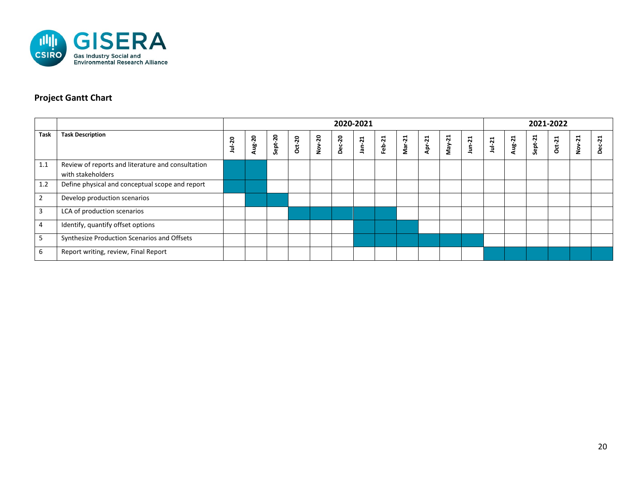

## **Project Gantt Chart**

|                |                                                                        |        | 2020-2021 |         |          |        | 2021-2022     |        |        |        |        |        |          |          |        |         |          |        |          |
|----------------|------------------------------------------------------------------------|--------|-----------|---------|----------|--------|---------------|--------|--------|--------|--------|--------|----------|----------|--------|---------|----------|--------|----------|
| Task           | <b>Task Description</b>                                                | Jul-20 | Aug-20    | Sept-20 | $Oct-20$ | Nov-20 | <b>Dec-20</b> | Jan-21 | Feb-21 | Mar-21 | Apr-21 | May-21 | $Jun-21$ | $Jul-21$ | Aug-21 | Sept-21 | $Oct-21$ | Nov-21 | ដ<br>ပ္ပ |
| 1.1            | Review of reports and literature and consultation<br>with stakeholders |        |           |         |          |        |               |        |        |        |        |        |          |          |        |         |          |        |          |
| 1.2            | Define physical and conceptual scope and report                        |        |           |         |          |        |               |        |        |        |        |        |          |          |        |         |          |        |          |
| $\overline{2}$ | Develop production scenarios                                           |        |           |         |          |        |               |        |        |        |        |        |          |          |        |         |          |        |          |
| 3              | LCA of production scenarios                                            |        |           |         |          |        |               |        |        |        |        |        |          |          |        |         |          |        |          |
| 4              | Identify, quantify offset options                                      |        |           |         |          |        |               |        |        |        |        |        |          |          |        |         |          |        |          |
| 5              | Synthesize Production Scenarios and Offsets                            |        |           |         |          |        |               |        |        |        |        |        |          |          |        |         |          |        |          |
| 6              | Report writing, review, Final Report                                   |        |           |         |          |        |               |        |        |        |        |        |          |          |        |         |          |        |          |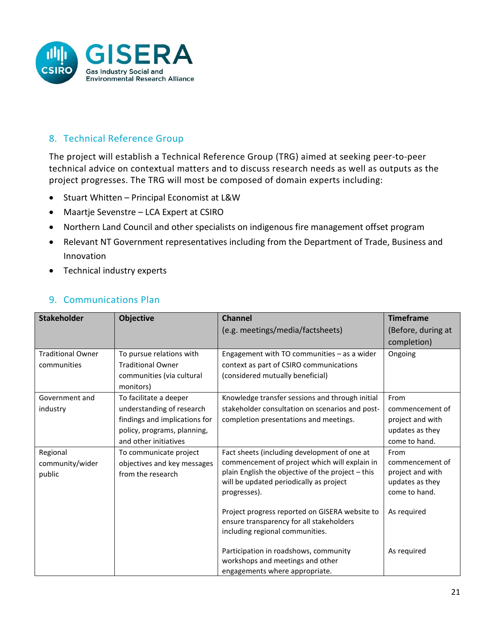

## 8. Technical Reference Group

The project will establish a Technical Reference Group (TRG) aimed at seeking peer-to-peer technical advice on contextual matters and to discuss research needs as well as outputs as the project progresses. The TRG will most be composed of domain experts including:

- Stuart Whitten Principal Economist at L&W
- Maartje Sevenstre LCA Expert at CSIRO
- Northern Land Council and other specialists on indigenous fire management offset program
- Relevant NT Government representatives including from the Department of Trade, Business and Innovation
- Technical industry experts

## 9. Communications Plan

| <b>Stakeholder</b>       | <b>Objective</b>                       | <b>Channel</b>                                                                                                                | <b>Timeframe</b>   |
|--------------------------|----------------------------------------|-------------------------------------------------------------------------------------------------------------------------------|--------------------|
|                          |                                        | (e.g. meetings/media/factsheets)                                                                                              | (Before, during at |
|                          |                                        |                                                                                                                               | completion)        |
| <b>Traditional Owner</b> | To pursue relations with               | Engagement with TO communities $-$ as a wider                                                                                 | Ongoing            |
| communities              | <b>Traditional Owner</b>               | context as part of CSIRO communications                                                                                       |                    |
|                          | communities (via cultural<br>monitors) | (considered mutually beneficial)                                                                                              |                    |
| Government and           | To facilitate a deeper                 | Knowledge transfer sessions and through initial                                                                               | From               |
| industry                 | understanding of research              | stakeholder consultation on scenarios and post-                                                                               | commencement of    |
|                          | findings and implications for          | completion presentations and meetings.                                                                                        | project and with   |
|                          | policy, programs, planning,            |                                                                                                                               | updates as they    |
|                          | and other initiatives                  |                                                                                                                               | come to hand.      |
| Regional                 | To communicate project                 | Fact sheets (including development of one at                                                                                  | From               |
| community/wider          | objectives and key messages            | commencement of project which will explain in                                                                                 | commencement of    |
| public                   | from the research                      | plain English the objective of the project - this                                                                             | project and with   |
|                          |                                        | will be updated periodically as project                                                                                       | updates as they    |
|                          |                                        | progresses).                                                                                                                  | come to hand.      |
|                          |                                        | Project progress reported on GISERA website to<br>ensure transparency for all stakeholders<br>including regional communities. | As required        |
|                          |                                        | Participation in roadshows, community<br>workshops and meetings and other<br>engagements where appropriate.                   | As required        |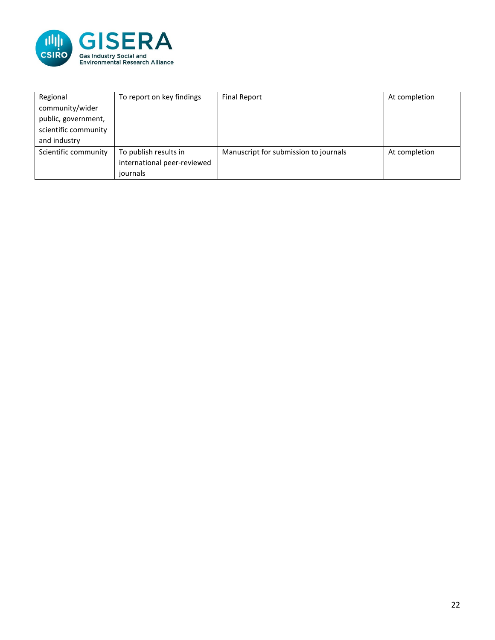

| Regional             | To report on key findings   | <b>Final Report</b>                   | At completion |
|----------------------|-----------------------------|---------------------------------------|---------------|
| community/wider      |                             |                                       |               |
| public, government,  |                             |                                       |               |
| scientific community |                             |                                       |               |
| and industry         |                             |                                       |               |
| Scientific community | To publish results in       | Manuscript for submission to journals | At completion |
|                      | international peer-reviewed |                                       |               |
|                      | journals                    |                                       |               |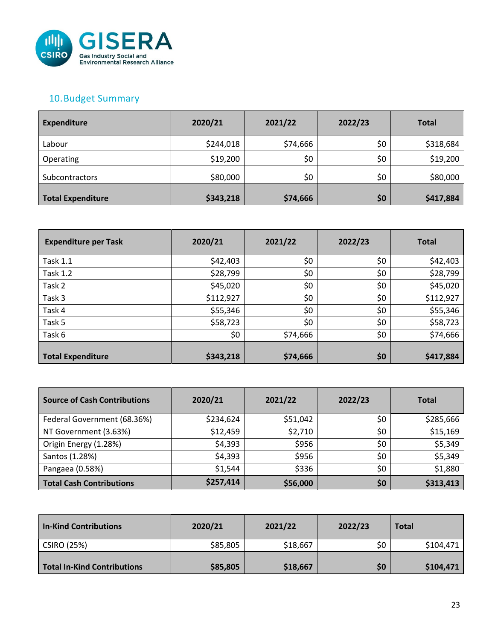

# 10.Budget Summary

| <b>Expenditure</b>       | 2020/21   | 2021/22  | 2022/23 | <b>Total</b> |
|--------------------------|-----------|----------|---------|--------------|
| Labour                   | \$244,018 | \$74,666 | \$0     | \$318,684    |
| Operating                | \$19,200  | \$0      | \$0     | \$19,200     |
| Subcontractors           | \$80,000  | \$0      | \$0     | \$80,000     |
| <b>Total Expenditure</b> | \$343,218 | \$74,666 | \$0     | \$417,884    |

| <b>Expenditure per Task</b> | 2020/21   | 2021/22  | 2022/23 | <b>Total</b> |
|-----------------------------|-----------|----------|---------|--------------|
| <b>Task 1.1</b>             | \$42,403  | \$0      | \$0     | \$42,403     |
| Task 1.2                    | \$28,799  | \$0      | \$0     | \$28,799     |
| Task 2                      | \$45,020  | \$0      | \$0     | \$45,020     |
| Task 3                      | \$112,927 | \$0      | \$0     | \$112,927    |
| Task 4                      | \$55,346  | \$0      | \$0     | \$55,346     |
| Task 5                      | \$58,723  | \$0      | \$0     | \$58,723     |
| Task 6                      | \$0       | \$74,666 | \$0     | \$74,666     |
|                             |           |          |         |              |
| <b>Total Expenditure</b>    | \$343,218 | \$74,666 | \$0     | \$417,884    |

| <b>Source of Cash Contributions</b> | 2020/21   | 2021/22  | 2022/23 | <b>Total</b> |
|-------------------------------------|-----------|----------|---------|--------------|
| Federal Government (68.36%)         | \$234,624 | \$51,042 | \$0     | \$285,666    |
| NT Government (3.63%)               | \$12,459  | \$2,710  | \$0     | \$15,169     |
| Origin Energy (1.28%)               | \$4,393   | \$956    | \$0     | \$5,349      |
| Santos (1.28%)                      | \$4,393   | \$956    | \$0     | \$5,349      |
| Pangaea (0.58%)                     | \$1,544   | \$336    | \$0     | \$1,880      |
| <b>Total Cash Contributions</b>     | \$257,414 | \$56,000 | \$0     | \$313,413    |

| <b>In-Kind Contributions</b>       | 2020/21  | 2021/22  | 2022/23 | <b>Total</b> |
|------------------------------------|----------|----------|---------|--------------|
| CSIRO (25%)                        | \$85,805 | \$18,667 | \$0     | \$104,471    |
| <b>Total In-Kind Contributions</b> | \$85,805 | \$18,667 | \$0     | \$104,471    |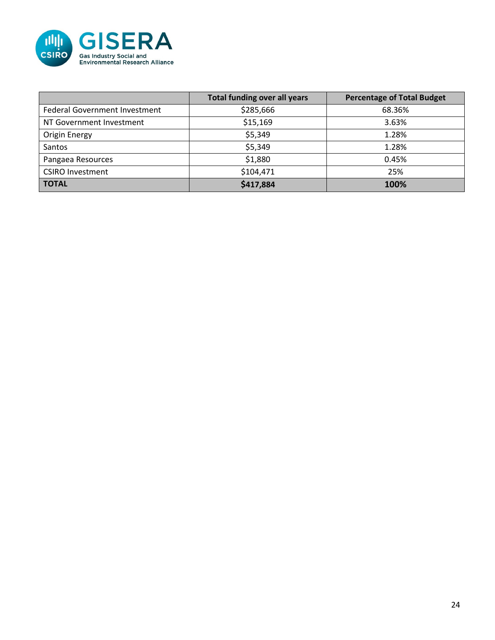

|                                      | <b>Total funding over all years</b> | <b>Percentage of Total Budget</b> |
|--------------------------------------|-------------------------------------|-----------------------------------|
| <b>Federal Government Investment</b> | \$285,666                           | 68.36%                            |
| NT Government Investment             | \$15,169                            | 3.63%                             |
| Origin Energy                        | \$5,349                             | 1.28%                             |
| Santos                               | \$5,349                             | 1.28%                             |
| Pangaea Resources                    | \$1,880                             | 0.45%                             |
| <b>CSIRO Investment</b>              | \$104,471                           | 25%                               |
| <b>TOTAL</b>                         | \$417,884                           | 100%                              |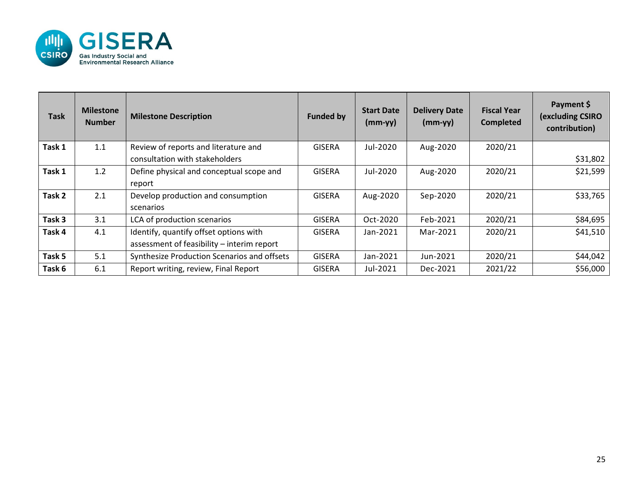

| <b>Task</b> | <b>Milestone</b><br><b>Number</b> | <b>Milestone Description</b>                | <b>Funded by</b> | <b>Start Date</b><br>$(mm-yy)$ | <b>Delivery Date</b><br>$(mm-yy)$ | <b>Fiscal Year</b><br><b>Completed</b> | Payment \$<br>(excluding CSIRO<br>contribution) |
|-------------|-----------------------------------|---------------------------------------------|------------------|--------------------------------|-----------------------------------|----------------------------------------|-------------------------------------------------|
| Task 1      | 1.1                               | Review of reports and literature and        | <b>GISERA</b>    | Jul-2020                       | Aug-2020                          | 2020/21                                |                                                 |
|             |                                   | consultation with stakeholders              |                  |                                |                                   |                                        | \$31,802                                        |
| Task 1      | 1.2                               | Define physical and conceptual scope and    | <b>GISERA</b>    | Jul-2020                       | Aug-2020                          | 2020/21                                | \$21,599                                        |
|             |                                   | report                                      |                  |                                |                                   |                                        |                                                 |
| Task 2      | 2.1                               | Develop production and consumption          | <b>GISERA</b>    | Aug-2020                       | Sep-2020                          | 2020/21                                | \$33,765                                        |
|             |                                   | scenarios                                   |                  |                                |                                   |                                        |                                                 |
| Task 3      | 3.1                               | LCA of production scenarios                 | <b>GISERA</b>    | Oct-2020                       | Feb-2021                          | 2020/21                                | \$84,695                                        |
| Task 4      | 4.1                               | Identify, quantify offset options with      | <b>GISERA</b>    | Jan-2021                       | Mar-2021                          | 2020/21                                | \$41,510                                        |
|             |                                   | assessment of feasibility - interim report  |                  |                                |                                   |                                        |                                                 |
| Task 5      | 5.1                               | Synthesize Production Scenarios and offsets | <b>GISERA</b>    | Jan-2021                       | Jun-2021                          | 2020/21                                | \$44,042                                        |
| Task 6      | 6.1                               | Report writing, review, Final Report        | <b>GISERA</b>    | Jul-2021                       | Dec-2021                          | 2021/22                                | \$56,000                                        |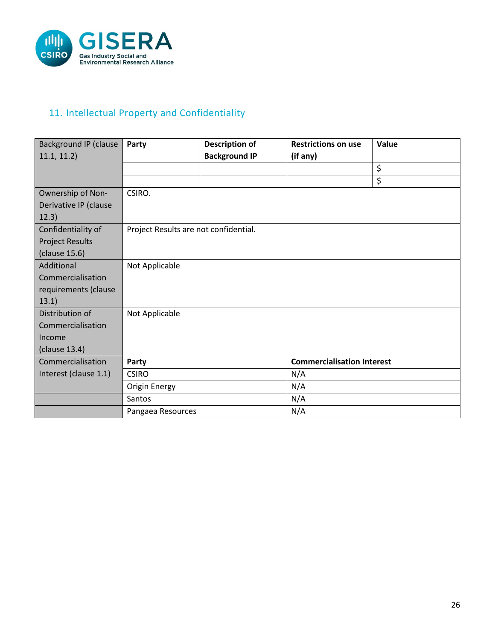

# 11. Intellectual Property and Confidentiality

| <b>Background IP (clause</b> | Party                                 | <b>Description of</b> | <b>Restrictions on use</b>        | Value |
|------------------------------|---------------------------------------|-----------------------|-----------------------------------|-------|
| 11.1, 11.2)                  |                                       | <b>Background IP</b>  | (if any)                          |       |
|                              |                                       |                       |                                   | \$    |
|                              |                                       |                       |                                   | \$    |
| Ownership of Non-            | CSIRO.                                |                       |                                   |       |
| Derivative IP (clause        |                                       |                       |                                   |       |
| 12.3)                        |                                       |                       |                                   |       |
| Confidentiality of           | Project Results are not confidential. |                       |                                   |       |
| <b>Project Results</b>       |                                       |                       |                                   |       |
| (clause 15.6)                |                                       |                       |                                   |       |
| Additional                   | Not Applicable                        |                       |                                   |       |
| Commercialisation            |                                       |                       |                                   |       |
| requirements (clause         |                                       |                       |                                   |       |
| 13.1)                        |                                       |                       |                                   |       |
| Distribution of              | Not Applicable                        |                       |                                   |       |
| Commercialisation            |                                       |                       |                                   |       |
| Income                       |                                       |                       |                                   |       |
| (clause 13.4)                |                                       |                       |                                   |       |
| Commercialisation            | Party                                 |                       | <b>Commercialisation Interest</b> |       |
| Interest (clause 1.1)        | <b>CSIRO</b>                          |                       | N/A                               |       |
|                              | Origin Energy                         |                       | N/A                               |       |
|                              | Santos                                |                       | N/A                               |       |
|                              | Pangaea Resources                     |                       | N/A                               |       |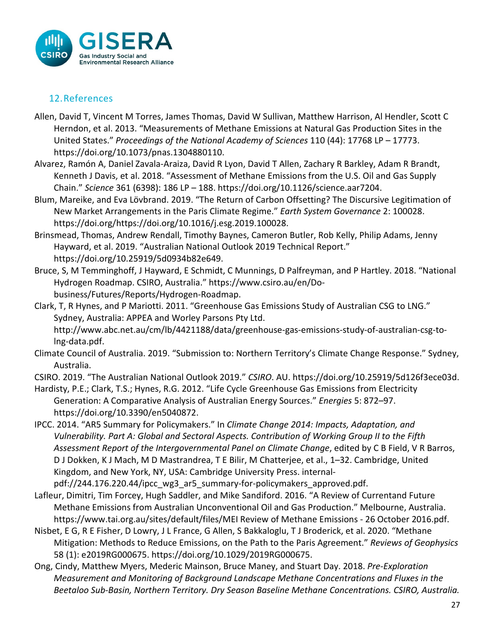

### 12.References

- Allen, David T, Vincent M Torres, James Thomas, David W Sullivan, Matthew Harrison, Al Hendler, Scott C Herndon, et al. 2013. "Measurements of Methane Emissions at Natural Gas Production Sites in the United States." *Proceedings of the National Academy of Sciences* 110 (44): 17768 LP – 17773. https://doi.org/10.1073/pnas.1304880110.
- Alvarez, Ramón A, Daniel Zavala-Araiza, David R Lyon, David T Allen, Zachary R Barkley, Adam R Brandt, Kenneth J Davis, et al. 2018. "Assessment of Methane Emissions from the U.S. Oil and Gas Supply Chain." *Science* 361 (6398): 186 LP – 188. https://doi.org/10.1126/science.aar7204.
- Blum, Mareike, and Eva Lövbrand. 2019. "The Return of Carbon Offsetting? The Discursive Legitimation of New Market Arrangements in the Paris Climate Regime." *Earth System Governance* 2: 100028. https://doi.org/https://doi.org/10.1016/j.esg.2019.100028.
- Brinsmead, Thomas, Andrew Rendall, Timothy Baynes, Cameron Butler, Rob Kelly, Philip Adams, Jenny Hayward, et al. 2019. "Australian National Outlook 2019 Technical Report." https://doi.org/10.25919/5d0934b82e649.
- Bruce, S, M Temminghoff, J Hayward, E Schmidt, C Munnings, D Palfreyman, and P Hartley. 2018. "National Hydrogen Roadmap. CSIRO, Australia." https://www.csiro.au/en/Dobusiness/Futures/Reports/Hydrogen-Roadmap.

Clark, T, R Hynes, and P Mariotti. 2011. "Greenhouse Gas Emissions Study of Australian CSG to LNG." Sydney, Australia: APPEA and Worley Parsons Pty Ltd. http://www.abc.net.au/cm/lb/4421188/data/greenhouse-gas-emissions-study-of-australian-csg-tolng-data.pdf.

Climate Council of Australia. 2019. "Submission to: Northern Territory's Climate Change Response." Sydney, Australia.

CSIRO. 2019. "The Australian National Outlook 2019." *CSIRO*. AU. https://doi.org/10.25919/5d126f3ece03d.

Hardisty, P.E.; Clark, T.S.; Hynes, R.G. 2012. "Life Cycle Greenhouse Gas Emissions from Electricity Generation: A Comparative Analysis of Australian Energy Sources." *Energies* 5: 872–97. https://doi.org/10.3390/en5040872.

IPCC. 2014. "AR5 Summary for Policymakers." In *Climate Change 2014: Impacts, Adaptation, and Vulnerability. Part A: Global and Sectoral Aspects. Contribution of Working Group II to the Fifth Assessment Report of the Intergovernmental Panel on Climate Change*, edited by C B Field, V R Barros, D J Dokken, K J Mach, M D Mastrandrea, T E Bilir, M Chatterjee, et al., 1–32. Cambridge, United Kingdom, and New York, NY, USA: Cambridge University Press. internal-

pdf://244.176.220.44/ipcc\_wg3\_ar5\_summary-for-policymakers\_approved.pdf.

- Lafleur, Dimitri, Tim Forcey, Hugh Saddler, and Mike Sandiford. 2016. "A Review of Currentand Future Methane Emissions from Australian Unconventional Oil and Gas Production." Melbourne, Australia. https://www.tai.org.au/sites/default/files/MEI Review of Methane Emissions - 26 October 2016.pdf.
- Nisbet, E G, R E Fisher, D Lowry, J L France, G Allen, S Bakkaloglu, T J Broderick, et al. 2020. "Methane Mitigation: Methods to Reduce Emissions, on the Path to the Paris Agreement." *Reviews of Geophysics* 58 (1): e2019RG000675. https://doi.org/10.1029/2019RG000675.
- Ong, Cindy, Matthew Myers, Mederic Mainson, Bruce Maney, and Stuart Day. 2018. *Pre-Exploration Measurement and Monitoring of Background Landscape Methane Concentrations and Fluxes in the Beetaloo Sub-Basin, Northern Territory. Dry Season Baseline Methane Concentrations. CSIRO, Australia.*